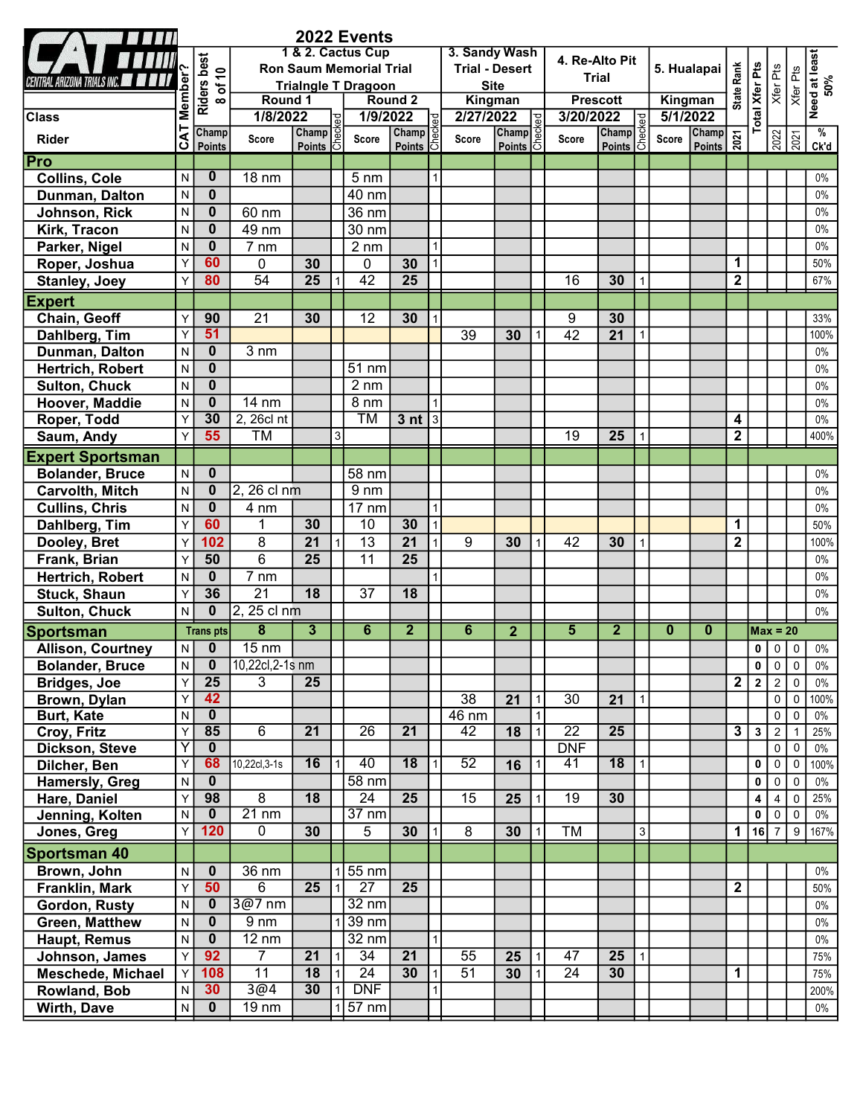|                                               |                   |                         |                                |                         |                | 2022 Events                   |                 |                       |                 |                 |              |                 |                 |              |                |                                              |                         |                       |                |                                  |                      |
|-----------------------------------------------|-------------------|-------------------------|--------------------------------|-------------------------|----------------|-------------------------------|-----------------|-----------------------|-----------------|-----------------|--------------|-----------------|-----------------|--------------|----------------|----------------------------------------------|-------------------------|-----------------------|----------------|----------------------------------|----------------------|
|                                               |                   |                         |                                |                         |                | 1 & 2. Cactus Cup             |                 |                       | 3. Sandy Wash   |                 |              | 4. Re-Alto Pit  |                 |              |                |                                              |                         |                       |                |                                  |                      |
|                                               |                   |                         | <b>Ron Saum Memorial Trial</b> |                         |                |                               |                 | <b>Trial - Desert</b> |                 |                 | <b>Trial</b> |                 | 5. Hualapai     |              |                |                                              |                         |                       |                |                                  |                      |
| VA TRIALS INC. <b>And</b>                     |                   |                         |                                |                         |                | <b>Trialngle T Dragoon</b>    |                 |                       | <b>Site</b>     |                 |              |                 |                 |              |                |                                              | <b>State Rank</b>       |                       | Xfer Pts       | Xfer Pts                         |                      |
|                                               |                   | Riders best<br>8 of 10  | Round 1                        |                         |                |                               | Round 2         |                       | Kingman         |                 |              |                 | <b>Prescott</b> |              | Kingman        |                                              |                         |                       |                |                                  | Need at least<br>50% |
| <b>Class</b>                                  | <b>CAT Member</b> | Champ                   | 1/8/2022                       | Champ                   | <b>be</b>      | 1/9/2022                      | Champ           |                       | 2/27/2022       | Champ           |              | 3/20/2022       |                 |              | 5/1/2022       | Champ                                        |                         | <b>Total Xfer Pts</b> |                |                                  | $\frac{9}{6}$        |
| <b>Rider</b>                                  |                   | Points                  | Score                          | Points 6                | Ğ.             | Score                         | <b>Points</b>   | اځا                   | Score           | Points 5        |              | Score           | Champ<br>Points |              | Score          | $\frac{\text{Champ}}{\text{Points}} \approx$ |                         |                       |                | $\frac{2022}{2021}$              | Ck'd                 |
| Pro                                           |                   |                         |                                |                         |                |                               |                 |                       |                 |                 |              |                 |                 |              |                |                                              |                         |                       |                |                                  |                      |
| <b>Collins, Cole</b>                          | N                 | $\bf{0}$                | <b>18 nm</b>                   |                         |                | $5 \text{ nm}$                |                 |                       |                 |                 |              |                 |                 |              |                |                                              |                         |                       |                |                                  | $0\%$                |
| Dunman, Dalton                                | $\mathsf{N}$      | $\bf{0}$                |                                |                         |                | 40 nm                         |                 |                       |                 |                 |              |                 |                 |              |                |                                              |                         |                       |                |                                  | $0\%$                |
| Johnson, Rick                                 | $\mathsf{N}$      | $\mathbf{0}$            | 60 nm                          |                         |                | 36 nm                         |                 |                       |                 |                 |              |                 |                 |              |                |                                              |                         |                       |                |                                  | $0\%$                |
| Kirk, Tracon                                  | $\mathsf{N}$      | $\mathbf{0}$            | 49 nm                          |                         |                | 30 nm                         |                 |                       |                 |                 |              |                 |                 |              |                |                                              |                         |                       |                |                                  | $0\%$                |
| Parker, Nigel                                 | N                 | $\mathbf{0}$            | $\overline{7}$ nm              |                         |                | $2 \, \text{nm}$              |                 |                       |                 |                 |              |                 |                 |              |                |                                              |                         |                       |                |                                  | $0\%$                |
| Roper, Joshua                                 | Y                 | 60                      | 0                              | 30                      |                | $\pmb{0}$                     | 30              |                       |                 |                 |              |                 |                 |              |                |                                              | 1                       |                       |                |                                  | 50%                  |
| <b>Stanley, Joey</b>                          | Y                 | 80                      | $\overline{54}$                | $\overline{25}$         |                | 42                            | $\overline{25}$ |                       |                 |                 |              | 16              | 30              |              |                |                                              | $\mathbf{2}$            |                       |                |                                  | 67%                  |
| <b>Expert</b>                                 |                   |                         |                                |                         |                |                               |                 |                       |                 |                 |              |                 |                 |              |                |                                              |                         |                       |                |                                  |                      |
| Chain, Geoff                                  | $\mathsf{Y}$      | 90                      | $\overline{21}$                | 30                      |                | $\overline{12}$               | 30              |                       |                 |                 |              | 9               | 30              |              |                |                                              |                         |                       |                |                                  | 33%                  |
| Dahlberg, Tim                                 | Y                 | 51                      |                                |                         |                |                               |                 |                       | 39              | 30              |              | $\overline{42}$ | 21              |              |                |                                              |                         |                       |                |                                  | 100%                 |
| Dunman, Dalton                                | $\mathsf{N}$      | $\mathbf{0}$            | $3 \, \text{nm}$               |                         |                |                               |                 |                       |                 |                 |              |                 |                 |              |                |                                              |                         |                       |                |                                  | $0\%$                |
| Hertrich, Robert                              | $\mathsf{N}$      | $\mathbf{0}$            |                                |                         |                | 51 nm                         |                 |                       |                 |                 |              |                 |                 |              |                |                                              |                         |                       |                |                                  | $0\%$                |
| <b>Sulton, Chuck</b>                          | $\mathsf{N}$      | $\mathbf{0}$            |                                |                         |                | $2 \, \text{nm}$              |                 |                       |                 |                 |              |                 |                 |              |                |                                              |                         |                       |                |                                  | $0\%$                |
| Hoover, Maddie                                | $\mathsf{N}$      | $\mathbf{0}$            | 14 nm                          |                         |                | 8 nm                          |                 |                       |                 |                 |              |                 |                 |              |                |                                              |                         |                       |                |                                  | $0\%$                |
| Roper, Todd                                   | Y                 | 30                      | 2, 26cl nt                     |                         |                | <b>TM</b>                     | 3 <sub>nt</sub> | 3                     |                 |                 |              |                 |                 |              |                |                                              | $\boldsymbol{4}$        |                       |                |                                  | $0\%$                |
| Saum, Andy                                    | Y                 | 55                      | TM                             |                         | 3 <sup>1</sup> |                               |                 |                       |                 |                 |              | 19              | 25              |              |                |                                              | $\mathbf{2}$            |                       |                |                                  | 400%                 |
| <b>Expert Sportsman</b>                       |                   |                         |                                |                         |                |                               |                 |                       |                 |                 |              |                 |                 |              |                |                                              |                         |                       |                |                                  |                      |
| <b>Bolander, Bruce</b>                        | N                 | $\bf{0}$                |                                |                         |                | 58 nm                         |                 |                       |                 |                 |              |                 |                 |              |                |                                              |                         |                       |                |                                  | $0\%$                |
| <b>Carvolth, Mitch</b>                        | $\mathsf{N}$      | $\bf{0}$                | 2, 26 cl nm                    |                         |                | $9 \, \text{nm}$              |                 |                       |                 |                 |              |                 |                 |              |                |                                              |                         |                       |                |                                  | $0\%$                |
| <b>Cullins, Chris</b>                         | $\mathsf{N}$      | $\mathbf{0}$            | 4 nm                           |                         |                | $17 \text{ nm}$               |                 |                       |                 |                 |              |                 |                 |              |                |                                              |                         |                       |                |                                  | $0\%$                |
| Dahlberg, Tim                                 | Y                 | 60                      | 1                              | 30                      |                | 10                            | 30              |                       |                 |                 |              |                 |                 |              |                |                                              | 1                       |                       |                |                                  | 50%                  |
| Dooley, Bret                                  | Y                 | 102                     | $\overline{8}$                 | $\overline{21}$         |                | $\overline{13}$               | 21              |                       | 9               | 30              |              | 42              | 30              |              |                |                                              | $\mathbf{2}$            |                       |                |                                  | 100%                 |
| Frank, Brian                                  | Y                 | 50                      | 6                              | 25                      |                | 11                            | $\overline{25}$ |                       |                 |                 |              |                 |                 |              |                |                                              |                         |                       |                |                                  | $0\%$                |
| Hertrich, Robert                              | N                 | $\mathbf 0$             | $7 \, \text{nm}$               |                         |                |                               |                 |                       |                 |                 |              |                 |                 |              |                |                                              |                         |                       |                |                                  | $0\%$                |
| <b>Stuck, Shaun</b>                           | Y                 | 36                      | $\overline{21}$                | 18                      |                | $\overline{37}$               | 18              |                       |                 |                 |              |                 |                 |              |                |                                              |                         |                       |                |                                  | $0\%$                |
| Sulton, Chuck                                 | ${\sf N}$         | $\mathbf{0}$            | 2, 25 cl nm                    |                         |                |                               |                 |                       |                 |                 |              |                 |                 |              |                |                                              |                         |                       |                |                                  | $0\%$                |
|                                               |                   | <b>Trans pts</b>        | $\overline{\mathbf{8}}$        | $\overline{\mathbf{3}}$ |                | $\overline{6}$                | $\overline{2}$  |                       | $\overline{6}$  | $\overline{2}$  |              | $\overline{5}$  | $\overline{2}$  |              | $\overline{0}$ | $\mathbf{0}$                                 |                         | $Max = 20$            |                |                                  |                      |
| <b>Sportsman</b><br><b>Allison, Courtney</b>  | $\mathsf{N}$      | $\mathbf{0}$            | $15 \text{ nm}$                |                         |                |                               |                 |                       |                 |                 |              |                 |                 |              |                |                                              |                         | 0                     | $\mathbf 0$    | $\mathbf 0$                      | $0\%$                |
|                                               |                   | $\pmb{0}$               | 10,22cl,2-1s nm                |                         |                |                               |                 |                       |                 |                 |              |                 |                 |              |                |                                              |                         |                       | 0   0          |                                  |                      |
| <b>Bolander, Bruce</b><br><b>Bridges, Joe</b> | N<br>$\mathsf{Y}$ | 25                      | 3                              | 25                      |                |                               |                 |                       |                 |                 |              |                 |                 |              |                |                                              | $\overline{2}$          | $\overline{2}$        | 2              | $\overline{0}$<br>$\overline{0}$ | 0%<br>$0\%$          |
| Brown, Dylan                                  | Y                 | 42                      |                                |                         |                |                               |                 |                       | $\overline{38}$ | 21              |              | 30              | 21              |              |                |                                              |                         |                       | $\circ$        | $\overline{0}$                   | 100%                 |
| <b>Burt, Kate</b>                             | $\mathsf{N}$      | $\overline{\mathbf{0}}$ |                                |                         |                |                               |                 |                       | 46 nm           |                 |              |                 |                 |              |                |                                              |                         |                       | $\overline{0}$ | $\mathbf 0$                      | $0\%$                |
| Croy, Fritz                                   | Y                 | 85                      | 6                              | $\overline{21}$         |                | $\overline{26}$               | $\overline{21}$ |                       | 42              | 18              |              | $\overline{22}$ | 25              |              |                |                                              | $\overline{\mathbf{3}}$ | $\mathbf{3}$          | $\overline{2}$ | $\overline{1}$                   | 25%                  |
| Dickson, Steve                                | Y                 | $\mathbf{0}$            |                                |                         |                |                               |                 |                       |                 |                 |              | <b>DNF</b>      |                 |              |                |                                              |                         |                       | $\overline{0}$ | $\mathbf 0$                      | $0\%$                |
| Dilcher, Ben                                  | Y                 | 68                      | 10,22cl,3-1s                   | 16                      |                | 40                            | $\overline{18}$ |                       | 52              | 16              |              | 41              | $\overline{18}$ |              |                |                                              |                         | 0                     | $\overline{0}$ | $\mathbf 0$                      | 100%                 |
| Hamersly, Greg                                | $\mathsf{N}$      | $\mathbf 0$             |                                |                         |                | $58 \text{ nm}$               |                 |                       |                 |                 |              |                 |                 |              |                |                                              |                         | 0                     | $\mathbf 0$    | $\mathbf 0$                      | $0\%$                |
| Hare, Daniel                                  | Y                 | 98                      | 8                              | $\overline{18}$         |                | 24                            | $\overline{25}$ |                       | $\overline{15}$ | 25              |              | $\overline{19}$ | 30              |              |                |                                              |                         | 4                     | $\overline{4}$ | $\overline{0}$                   | 25%                  |
| Jenning, Kolten                               | $\mathsf{N}$      | $\mathbf 0$             | $21 \text{ nm}$                |                         |                | $37 \text{ nm}$               |                 |                       |                 |                 |              |                 |                 |              |                |                                              |                         | 0                     | $\overline{0}$ | $\mathbf 0$                      | $0\%$                |
| Jones, Greg                                   | $\overline{Y}$    | 120                     | 0                              | 30                      |                | 5                             | 30              |                       | 8               | 30 <sub>o</sub> |              | <b>TM</b>       |                 | 3            |                |                                              |                         | 1 16 7 9              |                |                                  | 167%                 |
| <b>Sportsman 40</b>                           |                   |                         |                                |                         |                |                               |                 |                       |                 |                 |              |                 |                 |              |                |                                              |                         |                       |                |                                  |                      |
| Brown, John                                   | $\mathsf{N}$      | $\mathbf{0}$            | 36 nm                          |                         |                | $1\overline{)55}$ nm          |                 |                       |                 |                 |              |                 |                 |              |                |                                              |                         |                       |                |                                  | $0\%$                |
| Franklin, Mark                                | $\mathsf{Y}$      | 50                      | 6                              | 25                      |                | $\overline{27}$               | 25              |                       |                 |                 |              |                 |                 |              |                |                                              | $\mathbf{2}$            |                       |                |                                  | 50%                  |
| Gordon, Rusty                                 | $\mathsf{N}$      | $\bf{0}$                | $3@7$ nm                       |                         |                | $32 \text{ nm}$               |                 |                       |                 |                 |              |                 |                 |              |                |                                              |                         |                       |                |                                  | $0\%$                |
|                                               | $\mathsf{N}$      | $\mathbf{0}$            | $\overline{9}$ nm              |                         |                | $39 \text{ nm}$               |                 |                       |                 |                 |              |                 |                 |              |                |                                              |                         |                       |                |                                  | $0\%$                |
| Green, Matthew                                |                   | $\mathbf{0}$            |                                |                         |                |                               |                 |                       |                 |                 |              |                 |                 |              |                |                                              |                         |                       |                |                                  | $0\%$                |
| Haupt, Remus                                  | $\mathsf{N}$      |                         | $12 \text{ nm}$                |                         |                | 32 nm                         |                 |                       |                 |                 |              |                 |                 |              |                |                                              |                         |                       |                |                                  |                      |
| Johnson, James                                | $\mathsf{Y}$      | 92                      | $\overline{7}$                 | $\overline{21}$         | $\mathbf{1}$   | $\overline{34}$               | $\overline{21}$ |                       | 55              | 25              |              | 47              | $\overline{25}$ | $\mathbf{1}$ |                |                                              |                         |                       |                |                                  | 75%                  |
| <b>Meschede, Michael</b>                      | Y                 | 108                     | $\overline{11}$                | $\overline{18}$<br>30   | $\vert$ 1      | $\overline{24}$<br><b>DNF</b> | 30              |                       | $\overline{51}$ | 30              |              | $\overline{24}$ | 30              |              |                |                                              | $\mathbf{1}$            |                       |                |                                  | 75%                  |
| Rowland, Bob                                  | $\overline{N}$    | 30                      | 3@4                            |                         | $\overline{1}$ |                               |                 |                       |                 |                 |              |                 |                 |              |                |                                              |                         |                       |                |                                  | 200%                 |
| Wirth, Dave                                   | ${\sf N}$         | $\mathbf{0}$            | 19 nm                          |                         |                | $1 57$ nm                     |                 |                       |                 |                 |              |                 |                 |              |                |                                              |                         |                       |                |                                  | $0\%$                |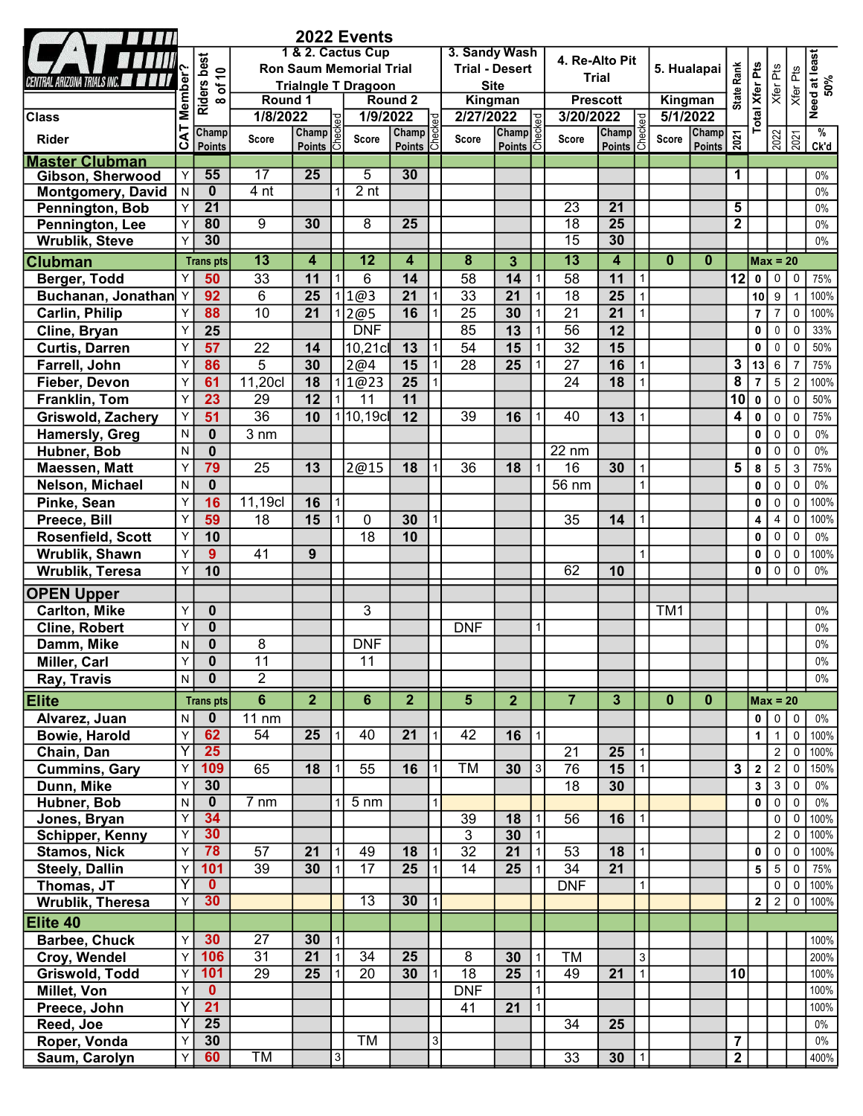|                        |                   |                         |                  |                                |              | 2022 Events       |                        |   |                         |                           |                |                                    |                         |                |                 |                                                       |                         |                       |                     |                      |                       |
|------------------------|-------------------|-------------------------|------------------|--------------------------------|--------------|-------------------|------------------------|---|-------------------------|---------------------------|----------------|------------------------------------|-------------------------|----------------|-----------------|-------------------------------------------------------|-------------------------|-----------------------|---------------------|----------------------|-----------------------|
|                        |                   |                         |                  |                                |              | 1 & 2. Cactus Cup |                        |   | 3. Sandy Wash           |                           |                | 4. Re-Alto Pit                     |                         |                |                 |                                                       |                         |                       |                     | Need at least<br>50% |                       |
|                        |                   | <b>Riders best</b>      |                  | <b>Ron Saum Memorial Trial</b> |              |                   |                        |   |                         | <b>Trial - Desert</b>     |                |                                    | <b>Trial</b>            |                | 5. Hualapai     |                                                       | Rank                    |                       | Xfer Pts            |                      |                       |
| ARIZONA TRIALS INC.    |                   | of $10$                 |                  | <b>Trialngle T Dragoon</b>     |              |                   |                        |   |                         | <b>Site</b>               |                |                                    |                         |                |                 |                                                       |                         |                       |                     | Xfer Pts             |                       |
|                        |                   | $\infty$                | Round 1          |                                |              |                   | Round 2                |   |                         | Kingman                   |                |                                    | <b>Prescott</b>         |                |                 | Kingman                                               | State I                 |                       |                     |                      |                       |
| <b>Class</b>           |                   |                         | 1/8/2022         |                                | ි ප          | 1/9/2022          |                        | 밂 | 2/27/2022               |                           |                | 3/20/2022                          |                         |                | 5/1/2022        |                                                       |                         | <b>Total Xfer Pts</b> |                     |                      |                       |
| Rider                  | <b>CAT Member</b> | Champ<br>Points         | Score            | Champ<br>Points 5              |              | Score             | Champ<br><b>Points</b> | õ | Score                   | Champ<br><b>Points</b> 15 |                | Score                              | Champ<br>Points 5       | 흥              | Score           | Champ<br>$\frac{\text{Champ}}{\text{Points}} \approx$ |                         |                       |                     | $\frac{2022}{2021}$  | $\frac{9}{6}$<br>Ck'd |
| <b>Master Clubman</b>  |                   |                         |                  |                                |              |                   |                        |   |                         |                           |                |                                    |                         |                |                 |                                                       |                         |                       |                     |                      |                       |
| Gibson, Sherwood       | Y                 | 55                      | $\overline{17}$  | 25                             |              | 5                 | 30                     |   |                         |                           |                |                                    |                         |                |                 |                                                       | 1                       |                       |                     |                      | $0\%$                 |
| Montgomery, David      | N                 | $\mathbf{0}$            | 4 <sub>nt</sub>  |                                |              | 2 <sub>nt</sub>   |                        |   |                         |                           |                |                                    |                         |                |                 |                                                       |                         |                       |                     |                      | $0\%$                 |
| Pennington, Bob        | Y                 | $\overline{21}$         |                  |                                |              |                   |                        |   |                         |                           |                | $\overline{23}$                    | $\overline{21}$         |                |                 |                                                       | $5\phantom{.0}$         |                       |                     |                      | 0%                    |
| Pennington, Lee        | Y<br>Υ            | 80<br>30                | $\overline{9}$   | 30                             |              | $\overline{8}$    | $\overline{25}$        |   |                         |                           |                | $\overline{18}$<br>$\overline{15}$ | $\overline{25}$<br>30   |                |                 |                                                       | $\overline{2}$          |                       |                     |                      | $0\%$<br>$0\%$        |
| <b>Wrublik, Steve</b>  |                   |                         |                  |                                |              |                   |                        |   |                         |                           |                |                                    |                         |                |                 |                                                       |                         |                       |                     |                      |                       |
| <b>Clubman</b>         |                   | <b>Trans pts</b>        | $\overline{13}$  | 4                              |              | $\overline{12}$   | 4                      |   | $\overline{\mathbf{8}}$ | $\overline{3}$            |                | $\overline{13}$                    | 4                       |                | $\mathbf{0}$    | $\mathbf{0}$                                          |                         | $Max = 20$            |                     |                      |                       |
| Berger, Todd           | Υ                 | 50                      | 33               | 11                             |              | 6                 | 14                     |   | 58                      | 14                        |                | 58                                 | 11                      |                |                 |                                                       | 12                      | 0                     | $\mathbf 0$         | $\mathbf 0$          | 75%                   |
| Buchanan, Jonathan Y   |                   | 92                      | $6\phantom{1}$   | $\overline{25}$                |              | 1@3               | 21                     |   | $\overline{33}$         | 21                        |                | $\overline{18}$                    | 25                      |                |                 |                                                       |                         | 10                    | $\boldsymbol{9}$    | $\overline{1}$       | 100%                  |
| <b>Carlin, Philip</b>  | Y                 | 88                      | $\overline{10}$  | 21                             |              | 2@5               | 16                     |   | $\overline{25}$         | 30                        |                | $\overline{21}$                    | $\overline{21}$         |                |                 |                                                       |                         | $\overline{7}$        | $\overline{7}$      | $\mathbf 0$          | 100%                  |
| Cline, Bryan           | Y                 | 25                      |                  |                                |              | <b>DNF</b>        |                        |   | 85                      | $\overline{13}$           |                | 56                                 | 12                      |                |                 |                                                       |                         | $\mathbf 0$           | $\mathbf 0$         | $\Omega$             | 33%                   |
| <b>Curtis, Darren</b>  | Y                 | 57                      | 22               | 14                             |              | 10,21c            | 13                     |   | 54                      | 15                        |                | 32                                 | 15                      |                |                 |                                                       |                         | $\mathbf 0$           | $\mathbf 0$         | $\Omega$             | 50%                   |
| Farrell, John          | Y                 | 86                      | 5                | 30                             |              | 2@4               | 15                     |   | $\overline{28}$         | 25                        |                | $\overline{27}$                    | 16                      |                |                 |                                                       | $\mathbf{3}$            | 13                    | 6                   | $\overline{7}$       | 75%                   |
| Fieber, Devon          | Y                 | 61                      | 11,20cl          | 18                             |              | 1 1@23            | 25                     |   |                         |                           |                | 24                                 | 18                      |                |                 |                                                       | $\overline{\mathbf{8}}$ | $\overline{7}$        | $\sqrt{5}$          | $\overline{2}$       | 100%                  |
| Franklin, Tom          | Y                 | 23                      | 29               | 12                             |              | 11                | 11                     |   |                         |                           |                |                                    |                         |                |                 |                                                       | 10                      | $\mathbf 0$           | $\mathsf 0$         | $\mathbf 0$          | 50%                   |
| Griswold, Zachery      | Y                 | 51                      | $\overline{36}$  | 10                             |              | 1 10,19c          | 12                     |   | 39                      | 16                        |                | 40                                 | 13                      |                |                 |                                                       | $\overline{4}$          | $\pmb{0}$             | $\pmb{0}$           | $\mathbf 0$          | 75%                   |
| <b>Hamersly, Greg</b>  | N                 | $\mathbf 0$             | $3 \, \text{nm}$ |                                |              |                   |                        |   |                         |                           |                |                                    |                         |                |                 |                                                       |                         | $\mathbf 0$           | $\mathbf 0$         | $\mathbf 0$          | $0\%$                 |
| Hubner, Bob            | N                 | $\mathbf 0$             |                  |                                |              |                   |                        |   |                         |                           |                | 22 nm                              |                         |                |                 |                                                       |                         | 0                     | $\mathsf 0$         | $\mathbf 0$          | $0\%$                 |
| Maessen, Matt          | Y                 | 79                      | $\overline{25}$  | 13                             |              | 2@15              | 18                     |   | 36                      | 18                        |                | 16                                 | 30                      |                |                 |                                                       | 5                       | 8                     | $\sqrt{5}$          | $\mathbf{3}$         | 75%                   |
| Nelson, Michael        | $\mathsf{N}$      | $\mathbf 0$             |                  |                                |              |                   |                        |   |                         |                           |                | 56 nm                              |                         |                |                 |                                                       |                         | $\mathbf 0$           | $\mathsf 0$         | $\mathbf 0$          | $0\%$                 |
| Pinke, Sean            | Y                 | 16                      | 11,19cl          | 16                             | $\mathbf{1}$ |                   |                        |   |                         |                           |                |                                    |                         |                |                 |                                                       |                         | 0                     | $\mathbf 0$         | $\mathbf 0$          | 100%                  |
| Preece, Bill           | Y                 | 59                      | 18               | 15                             |              | 0                 | 30                     |   |                         |                           |                | 35                                 | 14                      |                |                 |                                                       |                         | 4                     | 4                   | $\mathbf 0$          | 100%                  |
| Rosenfield, Scott      | Y                 | 10                      |                  |                                |              | 18                | 10                     |   |                         |                           |                |                                    |                         |                |                 |                                                       |                         | $\mathbf 0$           | 0                   | $\mathbf 0$          | $0\%$                 |
| Wrublik, Shawn         | Y                 | 9                       | 41               | 9                              |              |                   |                        |   |                         |                           |                |                                    |                         |                |                 |                                                       |                         | $\mathbf 0$           | $\mathbf 0$         | $\mathbf 0$          | 100%                  |
| Wrublik, Teresa        | Y                 | 10                      |                  |                                |              |                   |                        |   |                         |                           |                | 62                                 | 10                      |                |                 |                                                       |                         | $\mathbf 0$           | $\mathbf 0$         | $\mathbf 0$          | $0\%$                 |
| <b>OPEN Upper</b>      |                   |                         |                  |                                |              |                   |                        |   |                         |                           |                |                                    |                         |                |                 |                                                       |                         |                       |                     |                      |                       |
| <b>Carlton, Mike</b>   | Y                 | $\mathbf{0}$            |                  |                                |              | 3                 |                        |   |                         |                           |                |                                    |                         |                | TM <sub>1</sub> |                                                       |                         |                       |                     |                      | $0\%$                 |
| <b>Cline, Robert</b>   | Y                 | $\mathbf 0$             |                  |                                |              |                   |                        |   | <b>DNF</b>              |                           |                |                                    |                         |                |                 |                                                       |                         |                       |                     |                      | $0\%$                 |
| Damm, Mike             | N                 | $\mathbf 0$             | 8                |                                |              | <b>DNF</b>        |                        |   |                         |                           |                |                                    |                         |                |                 |                                                       |                         |                       |                     |                      | 0%                    |
| Miller, Carl           | Y                 | $\overline{\mathbf{0}}$ | 11               |                                |              | $\overline{11}$   |                        |   |                         |                           |                |                                    |                         |                |                 |                                                       |                         |                       |                     |                      | $0\%$                 |
| Ray, Travis            | $\mathsf{N}$      | $\mathbf 0$             | $\overline{2}$   |                                |              |                   |                        |   |                         |                           |                |                                    |                         |                |                 |                                                       |                         |                       |                     |                      | $0\%$                 |
| <b>Elite</b>           |                   | <b>Trans pts</b>        | $6\phantom{1}$   | $\mathbf{2}$                   |              | $6\phantom{a}$    | $\overline{2}$         |   | 5                       | $\overline{2}$            |                | $\overline{7}$                     | $\overline{\mathbf{3}}$ |                | $\mathbf{0}$    | $\bf{0}$                                              |                         | $Max = 20$            |                     |                      |                       |
| Alvarez, Juan          | N                 | $\mathbf 0$             | 11 nm            |                                |              |                   |                        |   |                         |                           |                |                                    |                         |                |                 |                                                       |                         | $\mathbf{0}$          | $\mathbf 0$         | $\mathbf 0$          | $0\%$                 |
| <b>Bowie, Harold</b>   | Y                 | 62                      | 54               | 25                             |              | 40                | 21                     |   | 42                      | 16                        |                |                                    |                         |                |                 |                                                       |                         | $\mathbf{1}$          | $\mathbf{1}$        | $\mathbf 0$          | 100%                  |
| Chain, Dan             | Υ                 | 25                      |                  |                                |              |                   |                        |   |                         |                           |                | $\overline{21}$                    | $\overline{25}$         |                |                 |                                                       |                         |                       | $\overline{2}$      | $\mathbf 0$          | 100%                  |
| <b>Cummins, Gary</b>   | Y                 | 109                     | 65               | 18                             |              | 55                | 16                     |   | TM                      | 30                        | 3 <sup>1</sup> | 76                                 | 15                      |                |                 |                                                       | $\mathbf{3}$            | $\mathbf{2}$          | $\overline{2}$      | $\Omega$             | 150%                  |
| Dunn, Mike             | Υ                 | 30                      |                  |                                |              |                   |                        |   |                         |                           |                | 18                                 | 30                      |                |                 |                                                       |                         | 3                     | $\mathbf{3}$        | $\mathbf 0$          | $0\%$                 |
| Hubner, Bob            | N                 | $\mathbf{0}$            | $7 \text{ nm}$   |                                |              | $5 \text{ nm}$    |                        |   |                         |                           |                |                                    |                         |                |                 |                                                       |                         | $\mathbf 0$           | $\mathbf 0$         | $\mathbf 0$          | $0\%$                 |
| Jones, Bryan           | Y                 | 34                      |                  |                                |              |                   |                        |   | 39                      | 18                        |                | 56                                 | 16                      |                |                 |                                                       |                         |                       | $\mathbf 0$         | $\mathbf 0$          | 100%                  |
| <b>Schipper, Kenny</b> | Y                 | 30                      |                  |                                |              |                   |                        |   | 3                       | 30                        | 1              |                                    |                         |                |                 |                                                       |                         |                       | $\overline{2}$      | $\mathbf 0$          | 100%                  |
| <b>Stamos, Nick</b>    | Y                 | 78                      | 57               | 21                             |              | 49                | 18                     |   | $\overline{32}$         | 21                        |                | 53                                 | 18                      |                |                 |                                                       |                         | 0                     | $\mathsf 0$         | $\mathbf 0$          | 100%                  |
| <b>Steely, Dallin</b>  | Y                 | 101                     | 39               | 30                             |              | $\overline{17}$   | 25                     |   | $\overline{14}$         | 25                        |                | $\overline{34}$                    | $\overline{21}$         |                |                 |                                                       |                         | 5                     | $\sqrt{5}$          | $\mathbf 0$          | 75%                   |
| Thomas, JT             | Υ                 | $\mathbf{0}$            |                  |                                |              |                   |                        |   |                         |                           |                | DNF                                |                         |                |                 |                                                       |                         |                       | $\mathsf{O}\xspace$ | $\mathbf 0$          | 100%                  |
| Wrublik, Theresa       | Y                 | 30                      |                  |                                |              | $\overline{13}$   | 30                     |   |                         |                           |                |                                    |                         |                |                 |                                                       |                         | $\mathbf{2}$          | $\overline{2}$      | $\mathbf 0$          | 100%                  |
| Elite 40               |                   |                         |                  |                                |              |                   |                        |   |                         |                           |                |                                    |                         |                |                 |                                                       |                         |                       |                     |                      |                       |
| <b>Barbee, Chuck</b>   | Y                 | 30                      | 27               | 30                             | $\vert$ 1    |                   |                        |   |                         |                           |                |                                    |                         |                |                 |                                                       |                         |                       |                     |                      | 100%                  |
| Croy, Wendel           | Y                 | 106                     | $\overline{31}$  | $\overline{21}$                | $\vert$ 1    | $\overline{34}$   | $\overline{25}$        |   | 8                       | 30                        |                | <b>TM</b>                          |                         | 3 <sup>1</sup> |                 |                                                       |                         |                       |                     |                      | 200%                  |
| Griswold, Todd         | Y                 | 101                     | 29               | 25                             |              | $\overline{20}$   | 30                     |   | $\overline{18}$         | 25                        | $\mathbf 1$    | 49                                 | 21                      | 1 <sup>1</sup> |                 |                                                       | 10                      |                       |                     |                      | 100%                  |
| Millet, Von            | Y                 | $\mathbf{0}$            |                  |                                |              |                   |                        |   | <b>DNF</b>              |                           | 1              |                                    |                         |                |                 |                                                       |                         |                       |                     |                      | 100%                  |
| Preece, John           | Ÿ                 | 21                      |                  |                                |              |                   |                        |   | 41                      | 21                        |                |                                    |                         |                |                 |                                                       |                         |                       |                     |                      | 100%                  |
| Reed, Joe              | Υ                 | 25                      |                  |                                |              |                   |                        |   |                         |                           |                | 34                                 | 25                      |                |                 |                                                       |                         |                       |                     |                      | $0\%$                 |
| Roper, Vonda           | Y                 | 30                      |                  |                                |              | <b>TM</b>         |                        | 3 |                         |                           |                |                                    |                         |                |                 |                                                       | $\overline{7}$          |                       |                     |                      | $0\%$                 |
| Saum, Carolyn          | Y                 | 60                      | TM               |                                | 3            |                   |                        |   |                         |                           |                | 33                                 | 30                      | 1              |                 |                                                       | $\overline{2}$          |                       |                     |                      | 400%                  |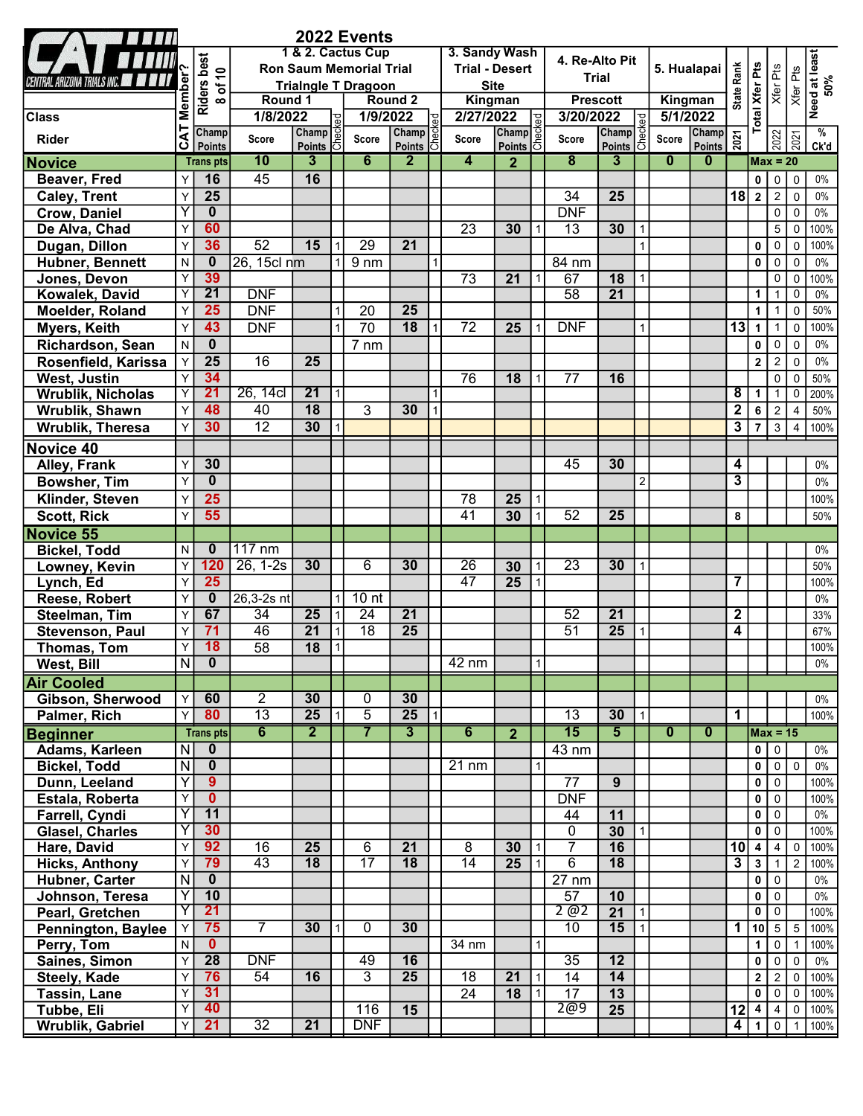|                                          |                                  |                                                    |                                   |                       |           | 2022 Events                      |                                    |    |                       |                        |     |                                    |                          |             |                         |                                                       |                                           |                              |                                  |                         |                      |
|------------------------------------------|----------------------------------|----------------------------------------------------|-----------------------------------|-----------------------|-----------|----------------------------------|------------------------------------|----|-----------------------|------------------------|-----|------------------------------------|--------------------------|-------------|-------------------------|-------------------------------------------------------|-------------------------------------------|------------------------------|----------------------------------|-------------------------|----------------------|
|                                          |                                  |                                                    |                                   |                       |           | 1 & 2. Cactus Cup                |                                    |    | 3. Sandy Wash         |                        |     | 4. Re-Alto Pit                     |                          |             |                         |                                                       |                                           |                              |                                  |                         | Need at least<br>50% |
| Central Arizona Trials Inc. <b>All</b>   |                                  | Riders best<br>8 of 10                             |                                   |                       |           | <b>Ron Saum Memorial Trial</b>   |                                    |    | <b>Trial - Desert</b> |                        |     |                                    | <b>Trial</b>             | 5. Hualapai | <b>State Rank</b>       | <b>Total Xfer Pts</b>                                 | Xfer Pts                                  | Xfer Pts                     |                                  |                         |                      |
|                                          |                                  |                                                    | Round 1                           |                       |           | <b>Trialngle T Dragoon</b>       | Round 2                            |    |                       | <b>Site</b><br>Kingman |     |                                    | <b>Prescott</b>          |             | Kingman                 |                                                       |                                           |                              |                                  |                         |                      |
| <b>Class</b>                             |                                  |                                                    | 1/8/2022                          |                       |           | 1/9/2022                         |                                    |    | 2/27/2022             |                        |     | 3/20/2022                          |                          |             | 5/1/2022                |                                                       |                                           |                              |                                  |                         |                      |
| <b>Rider</b>                             | <b>CAT Member</b>                | Champ                                              | Score                             | Champ                 | <b>be</b> | Score                            | Champ                              | ē  | Score                 | Champ                  |     | <b>Score</b>                       | <b>Champ</b><br>Points 5 |             | <b>Score</b>            | Champ<br>$\frac{\text{Champ}}{\text{Points}} \approx$ |                                           |                              |                                  | $\frac{2022}{2021}$     | %                    |
|                                          |                                  | Points                                             | 10                                | Points 5<br>3         |           | 6                                | <b>Points</b><br>$\overline{2}$    | 15 | 4                     | <b>Points</b>          | l5I | $\overline{\mathbf{8}}$            | $\overline{\mathbf{3}}$  |             | $\mathbf{0}$            | $\bf{0}$                                              |                                           |                              | $Max = 20$                       |                         | Ck'd                 |
| <b>Novice</b>                            | Y                                | <b>Trans</b> pts<br>16                             | 45                                | 16                    |           |                                  |                                    |    |                       | $\mathbf{2}$           |     |                                    |                          |             |                         |                                                       |                                           |                              |                                  |                         |                      |
| Beaver, Fred                             |                                  | $\overline{25}$                                    |                                   |                       |           |                                  |                                    |    |                       |                        |     |                                    |                          |             |                         |                                                       |                                           | 0                            | $\mathsf 0$<br>$\overline{2}$    | $\mathbf 0$             | $0\%$<br>$0\%$       |
| <b>Caley, Trent</b>                      | Y<br>Y                           | $\mathbf{0}$                                       |                                   |                       |           |                                  |                                    |    |                       |                        |     | 34<br><b>DNF</b>                   | 25                       |             |                         |                                                       | 18                                        | $\cdot$ 2                    | $\overline{0}$                   | $\mathbf 0$<br>$\Omega$ | $0\%$                |
| <b>Crow, Daniel</b>                      | Y                                | 60                                                 |                                   |                       |           |                                  |                                    |    | $\overline{23}$       |                        |     | $\overline{13}$                    |                          |             |                         |                                                       |                                           |                              | 5 <sup>1</sup>                   | $\Omega$                | 100%                 |
| De Alva, Chad                            |                                  | 36                                                 | $\overline{52}$                   | 15                    |           | $\overline{29}$                  | $\overline{21}$                    |    |                       | 30                     |     |                                    | 30                       |             |                         |                                                       |                                           |                              | $\mathbf 0$                      | $\Omega$                | 100%                 |
| Dugan, Dillon<br>Hubner, Bennett         | Y<br>$\mathsf{N}$                | $\bf{0}$                                           | 26, 15cl nm                       |                       |           | $9 \, \text{nm}$                 |                                    |    |                       |                        |     | 84 nm                              |                          |             |                         |                                                       |                                           | 0<br>0                       | $\mathbf 0$                      | $\Omega$                | $0\%$                |
| Jones, Devon                             | $\overline{Y}$                   | 39                                                 |                                   |                       |           |                                  |                                    |    | $\overline{73}$       | 21                     |     | 67                                 | $\overline{18}$          |             |                         |                                                       |                                           |                              | $\mathbf 0$                      | $\mathbf 0$             | 100%                 |
| Kowalek, David                           | $\mathsf{Y}$                     | $\overline{21}$                                    | <b>DNF</b>                        |                       |           |                                  |                                    |    |                       |                        |     | $\overline{58}$                    | $\overline{21}$          |             |                         |                                                       |                                           | 1                            | $\mathbf{1}$                     | 0                       | $0\%$                |
| Moelder, Roland                          | Y                                | 25                                                 | <b>DNF</b>                        |                       |           | 20                               | 25                                 |    |                       |                        |     |                                    |                          |             |                         |                                                       |                                           | $\mathbf{1}$                 | 1                                | 0                       | 50%                  |
| Myers, Keith                             | Y                                | 43                                                 | <b>DNF</b>                        |                       |           | $\overline{70}$                  | 18                                 |    | $\overline{72}$       | 25                     |     | <b>DNF</b>                         |                          |             |                         |                                                       | 13                                        | $\mathbf{1}$                 | $\mathbf{1}$                     | $\overline{0}$          | 100%                 |
| Richardson, Sean                         | N                                | $\mathbf{0}$                                       |                                   |                       |           | $7 \, \text{nm}$                 |                                    |    |                       |                        |     |                                    |                          |             |                         |                                                       |                                           | 0                            | $\mathbf 0$                      | $\overline{0}$          | $0\%$                |
| Rosenfield, Karissa                      | $\mathsf{Y}$                     | $\overline{25}$                                    | $\overline{16}$                   | 25                    |           |                                  |                                    |    |                       |                        |     |                                    |                          |             |                         |                                                       |                                           | $\mathbf{2}$                 | $\overline{2}$                   | $\mathbf 0$             | $0\%$                |
| West, Justin                             | Y                                | 34                                                 |                                   |                       |           |                                  |                                    |    | 76                    | 18                     |     | 77                                 | 16                       |             |                         |                                                       |                                           |                              | $\mathbf 0$                      | $\mathbf 0$             | 50%                  |
| <b>Wrublik, Nicholas</b>                 | $\mathsf{Y}$                     | 21                                                 | 26, 14cl                          | $\overline{21}$       |           |                                  |                                    |    |                       |                        |     |                                    |                          |             |                         |                                                       | $\overline{\mathbf{8}}$                   | 1                            | $\mathbf{1}$                     | $\mathbf 0$             | 200%                 |
| Wrublik, Shawn                           | Y                                | 48                                                 | 40                                | $\overline{18}$       |           | $\overline{3}$                   | 30                                 |    |                       |                        |     |                                    |                          |             |                         |                                                       | $\overline{2}$                            | 6                            | $\overline{2}$                   | $\overline{4}$          | 50%                  |
| <b>Wrublik, Theresa</b>                  | Y                                | 30                                                 | $\overline{12}$                   | 30                    |           |                                  |                                    |    |                       |                        |     |                                    |                          |             |                         |                                                       | $\overline{\mathbf{3}}$                   | $\overline{7}$               | $\mathbf{3}$                     | $\overline{4}$          | 100%                 |
|                                          |                                  |                                                    |                                   |                       |           |                                  |                                    |    |                       |                        |     |                                    |                          |             |                         |                                                       |                                           |                              |                                  |                         |                      |
| Novice 40                                |                                  |                                                    |                                   |                       |           |                                  |                                    |    |                       |                        |     |                                    |                          |             |                         |                                                       |                                           |                              |                                  |                         |                      |
| Alley, Frank                             | Y                                | 30                                                 |                                   |                       |           |                                  |                                    |    |                       |                        |     | 45                                 | 30                       |             |                         |                                                       | 4                                         |                              |                                  |                         | $0\%$                |
| <b>Bowsher, Tim</b>                      | Y                                | $\bf{0}$                                           |                                   |                       |           |                                  |                                    |    |                       |                        |     |                                    |                          | 2           |                         |                                                       | $\overline{\mathbf{3}}$                   |                              |                                  |                         | $0\%$                |
| Klinder, Steven                          | Y                                | $\overline{25}$                                    |                                   |                       |           |                                  |                                    |    | 78                    | 25                     |     |                                    |                          |             |                         |                                                       |                                           |                              |                                  |                         | 100%                 |
| <b>Scott, Rick</b>                       | Y                                | 55                                                 |                                   |                       |           |                                  |                                    |    | $\overline{41}$       | 30                     |     | 52                                 | 25                       |             |                         |                                                       | 8                                         |                              |                                  |                         | 50%                  |
| <b>Novice 55</b>                         |                                  |                                                    |                                   |                       |           |                                  |                                    |    |                       |                        |     |                                    |                          |             |                         |                                                       |                                           |                              |                                  |                         |                      |
| <b>Bickel, Todd</b>                      | N                                | $\bf{0}$                                           | $117 \text{ nm}$                  |                       |           |                                  |                                    |    |                       |                        |     |                                    |                          |             |                         |                                                       |                                           |                              |                                  |                         | $0\%$                |
| Lowney, Kevin                            | Y                                | 120                                                | $26, 1-2s$                        | 30                    |           | 6                                | 30                                 |    | 26                    | 30                     |     | $\overline{23}$                    | 30                       |             |                         |                                                       |                                           |                              |                                  |                         | 50%                  |
| Lynch, Ed                                | Y                                | 25                                                 |                                   |                       |           |                                  |                                    |    | 47                    | 25                     |     |                                    |                          |             |                         |                                                       | 7                                         |                              |                                  |                         | 100%                 |
| Reese, Robert                            | Y                                | $\bf{0}$<br>67                                     | $26,3-2s$ nt                      |                       |           | 10 <sub>nt</sub>                 |                                    |    |                       |                        |     | $\overline{52}$                    |                          |             |                         |                                                       |                                           |                              |                                  |                         | $0\%$                |
| Steelman, Tim                            | Y                                | 71                                                 | 34<br>46                          | 25<br>$\overline{21}$ |           | 24<br>$\overline{18}$            | $\overline{21}$<br>$\overline{25}$ |    |                       |                        |     | $\overline{51}$                    | $\overline{21}$          |             |                         |                                                       | $\overline{\mathbf{2}}$<br>$\overline{4}$ |                              |                                  |                         | 33%                  |
| Stevenson, Paul                          | Y<br>Y                           | 18                                                 | $\overline{58}$                   | $\overline{18}$       |           |                                  |                                    |    |                       |                        |     |                                    | 25                       |             |                         |                                                       |                                           |                              |                                  |                         | 67%<br>100%          |
| Thomas, Tom<br>West, Bill                | $\overline{N}$                   | $\overline{\mathbf{0}}$                            |                                   |                       |           |                                  |                                    |    | $42 \text{ nm}$       |                        |     |                                    |                          |             |                         |                                                       |                                           |                              |                                  |                         | $0\%$                |
|                                          |                                  |                                                    |                                   |                       |           |                                  |                                    |    |                       |                        |     |                                    |                          |             |                         |                                                       |                                           |                              |                                  |                         |                      |
| <b>Air Cooled</b>                        |                                  |                                                    |                                   |                       |           |                                  |                                    |    |                       |                        |     |                                    |                          |             |                         |                                                       |                                           |                              |                                  |                         |                      |
| Gibson, Sherwood                         | $\mathsf{Y}$                     | 60<br>80                                           | $\overline{2}$<br>$\overline{13}$ | 30<br>25              |           | 0                                | 30<br>$\overline{25}$              |    |                       |                        |     |                                    |                          |             |                         |                                                       |                                           |                              |                                  |                         | 0%                   |
| Palmer, Rich                             | Y                                |                                                    |                                   |                       |           | $\overline{5}$<br>$\overline{7}$ |                                    |    |                       |                        |     | $\overline{13}$<br>$\overline{15}$ | 30                       |             |                         |                                                       | $\mathbf 1$                               |                              |                                  |                         | 100%                 |
| <b>Beginner</b>                          |                                  | <b>Trans</b> pts                                   | $\overline{6}$                    | $\overline{2}$        |           |                                  | $\overline{\mathbf{3}}$            |    | 6                     | $\overline{2}$         |     |                                    | $\overline{5}$           |             | $\overline{\mathbf{0}}$ | $\overline{\mathbf{0}}$                               |                                           |                              | $Max = 15$                       |                         |                      |
| Adams, Karleen                           | $\overline{N}$                   | $\overline{\mathbf{0}}$<br>$\overline{\mathbf{0}}$ |                                   |                       |           |                                  |                                    |    | $21 \text{ nm}$       |                        |     | 43 nm                              |                          |             |                         |                                                       |                                           | 0 <sup>1</sup>               | $\overline{0}$                   |                         | $0\%$<br>$0\%$       |
| <b>Bickel, Todd</b>                      | $\overline{N}$<br>$\overline{Y}$ | $9^{\circ}$                                        |                                   |                       |           |                                  |                                    |    |                       |                        |     | 77                                 | 9                        |             |                         |                                                       |                                           | $\mathbf{0}$<br>$\mathbf{0}$ | $\overline{0}$<br>$\overline{0}$ | $\mathbf 0$             | 100%                 |
| Dunn, Leeland                            | $\overline{Y}$                   | $\mathbf{0}$                                       |                                   |                       |           |                                  |                                    |    |                       |                        |     | <b>DNF</b>                         |                          |             |                         |                                                       |                                           | 0                            | $\mathbf 0$                      |                         | 100%                 |
| Estala, Roberta                          | $\overline{\mathsf{Y}}$          | 11                                                 |                                   |                       |           |                                  |                                    |    |                       |                        |     | 44                                 | 11                       |             |                         |                                                       |                                           | 0                            | $\mathbf 0$                      |                         | $0\%$                |
| Farrell, Cyndi<br><b>Glasel, Charles</b> | Y                                | 30                                                 |                                   |                       |           |                                  |                                    |    |                       |                        |     | 0                                  | 30                       |             |                         |                                                       |                                           | $\mathbf{0}$                 | $\mathbf 0$                      |                         | 100%                 |
| Hare, David                              | Y                                | 92                                                 | $\overline{16}$                   | $\overline{25}$       |           | 6                                | 21                                 |    | 8                     | 30                     |     | $\overline{7}$                     | 16                       |             |                         |                                                       | 10                                        | $\vert$ 4                    | $\vert$ 4                        | $\Omega$                | 100%                 |
| <b>Hicks, Anthony</b>                    | $\overline{Y}$                   | 79                                                 | 43                                | $\overline{18}$       |           | $\overline{17}$                  | $\overline{18}$                    |    | 14                    | 25                     |     | $\overline{6}$                     | $\overline{18}$          |             |                         |                                                       | $\overline{\mathbf{3}}$                   | $\overline{\mathbf{3}}$      | $\mathbf{1}$                     | 2                       | 100%                 |
| Hubner, Carter                           | $\overline{\mathsf{N}}$          | $\overline{\mathbf{0}}$                            |                                   |                       |           |                                  |                                    |    |                       |                        |     | 27 nm                              |                          |             |                         |                                                       |                                           | $\overline{0}$               | $\overline{0}$                   |                         | $0\%$                |
| Johnson, Teresa                          | Y                                | 10                                                 |                                   |                       |           |                                  |                                    |    |                       |                        |     | 57                                 | 10                       |             |                         |                                                       |                                           | $\mathbf{0}$                 | $\mathbf 0$                      |                         | $0\%$                |
| Pearl, Gretchen                          | Y                                | 21                                                 |                                   |                       |           |                                  |                                    |    |                       |                        |     | 2 @2                               | $\overline{21}$          |             |                         |                                                       |                                           | 0                            | $\mathbf 0$                      |                         | 100%                 |
| <b>Pennington, Baylee</b>                | $\overline{Y}$                   | 75                                                 | 7                                 | 30                    |           | $\mathbf{0}$                     | 30                                 |    |                       |                        |     | $\overline{10}$                    | 15                       |             |                         |                                                       |                                           | 1   10                       | 5 <sub>5</sub>                   | $5\phantom{.0}$         | 100%                 |
| Perry, Tom                               | N                                | $\mathbf{0}$                                       |                                   |                       |           |                                  |                                    |    | 34 nm                 |                        |     |                                    |                          |             |                         |                                                       |                                           | $\mathbf{1}$                 | $\overline{0}$                   | $\overline{1}$          | 100%                 |
| Saines, Simon                            | Y                                | $\overline{28}$                                    | <b>DNF</b>                        |                       |           | 49                               | 16                                 |    |                       |                        |     | 35                                 | 12                       |             |                         |                                                       |                                           | $\mathbf 0$                  | $\overline{0}$                   | $\mathbf 0$             | $0\%$                |
| Steely, Kade                             | Y                                | 76                                                 | 54                                | 16                    |           | $\overline{3}$                   | $\overline{25}$                    |    | $\overline{18}$       | 21                     |     | 14                                 | 14                       |             |                         |                                                       |                                           | $\mathbf{2}$                 | $2 \mid$                         | $\overline{0}$          | 100%                 |
| Tassin, Lane                             | Y                                | 31                                                 |                                   |                       |           |                                  |                                    |    | 24                    | 18                     |     | $\overline{17}$                    | 13                       |             |                         |                                                       |                                           | $\mathbf{0}$                 | $\circ$                          | $\mathbf 0$             | 100%                 |
| Tubbe, Eli                               | Y                                | 40                                                 |                                   |                       |           | 116                              | 15                                 |    |                       |                        |     | 2@9                                | $\overline{25}$          |             |                         |                                                       | 12                                        | 4                            | $\vert 4 \vert$                  | $\mathbf 0$             | 100%                 |
| Wrublik, Gabriel                         | Y                                | 21                                                 | $\overline{32}$                   | 21                    |           | <b>DNF</b>                       |                                    |    |                       |                        |     |                                    |                          |             |                         |                                                       |                                           | 411                          | $\overline{0}$                   | $\overline{1}$          | 100%                 |
|                                          |                                  |                                                    |                                   |                       |           |                                  |                                    |    |                       |                        |     |                                    |                          |             |                         |                                                       |                                           |                              |                                  |                         |                      |